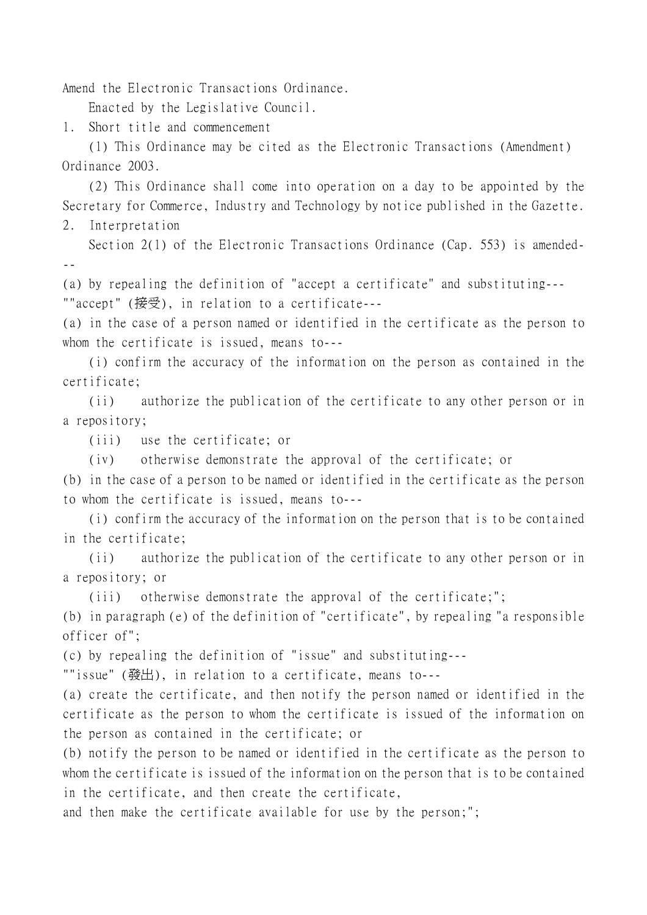Amend the Electronic Transactions Ordinance.

Enacted by the Legislative Council.

1. Short title and commencement

(1) This Ordinance may be cited as the Electronic Transactions (Amendment) Ordinance 2003.

(2) This Ordinance shall come into operation on a day to be appointed by the Secretary for Commerce, Industry and Technology by notice published in the Gazette. 2. Interpretation

Section 2(1) of the Electronic Transactions Ordinance (Cap. 553) is amended---

(a) by repealing the definition of "accept a certificate" and substituting--- ""accept" (接受), in relation to a certificate---

(a) in the case of a person named or identified in the certificate as the person to whom the certificate is issued, means to---

(i) confirm the accuracy of the information on the person as contained in the certificate;

(ii) authorize the publication of the certificate to any other person or in a repository;

(iii) use the certificate; or

(iv) otherwise demonstrate the approval of the certificate; or

(b) in the case of a person to be named or identified in the certificate as the person to whom the certificate is issued, means to---

(i) confirm the accuracy of the information on the person that is to be contained in the certificate;

(ii) authorize the publication of the certificate to any other person or in a repository; or

(iii) otherwise demonstrate the approval of the certificate;";

(b) in paragraph (e) of the definition of "certificate", by repealing "a responsible officer of";

(c) by repealing the definition of "issue" and substituting---

""issue" (發出), in relation to a certificate, means to---

(a) create the certificate, and then notify the person named or identified in the certificate as the person to whom the certificate is issued of the information on the person as contained in the certificate; or

(b) notify the person to be named or identified in the certificate as the person to whom the certificate is issued of the information on the person that is to be contained in the certificate, and then create the certificate,

and then make the certificate available for use by the person;";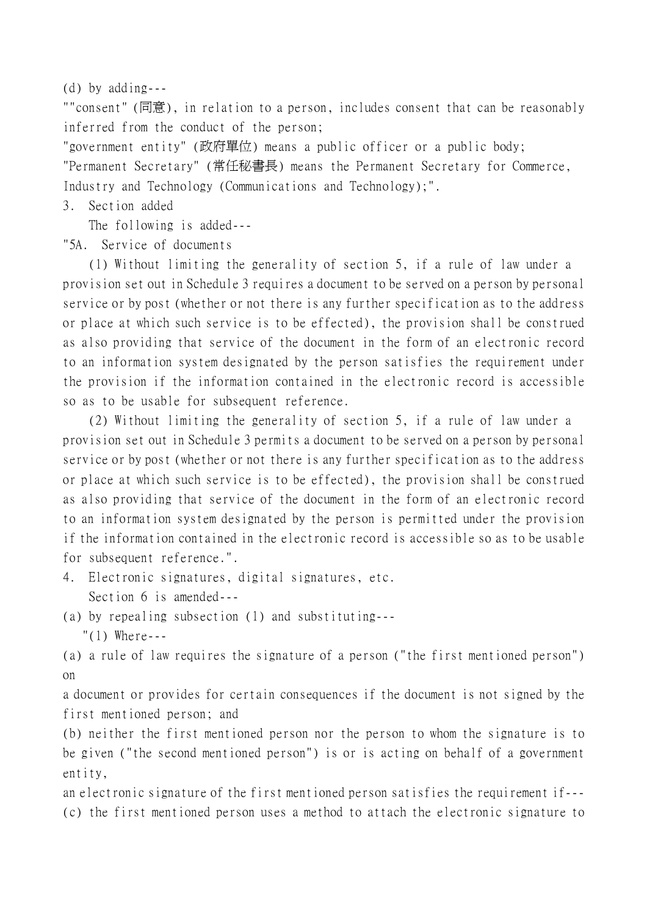## (d) by adding---

""consent" (同意), in relation to a person, includes consent that can be reasonably inferred from the conduct of the person;

"government entity" (政府單位) means a public officer or a public body; "Permanent Secretary" (常任秘書長) means the Permanent Secretary for Commerce, Industry and Technology (Communications and Technology);".

## 3. Section added

The following is added---

"5A. Service of documents

(1) Without limiting the generality of section 5, if a rule of law under a provision set out in Schedule 3 requires a document to be served on a person by personal service or by post (whether or not there is any further specification as to the address or place at which such service is to be effected), the provision shall be construed as also providing that service of the document in the form of an electronic record to an information system designated by the person satisfies the requirement under the provision if the information contained in the electronic record is accessible so as to be usable for subsequent reference.

(2) Without limiting the generality of section 5, if a rule of law under a provision set out in Schedule 3 permits a document to be served on a person by personal service or by post (whether or not there is any further specification as to the address or place at which such service is to be effected), the provision shall be construed as also providing that service of the document in the form of an electronic record to an information system designated by the person is permitted under the provision if the information contained in the electronic record is accessible so as to be usable for subsequent reference.".

4. Electronic signatures, digital signatures, etc.

Section 6 is amended---

(a) by repealing subsection (1) and substituting---

 $"(1)$  Where---

(a) a rule of law requires the signature of a person ("the first mentioned person") on

a document or provides for certain consequences if the document is not signed by the first mentioned person; and

(b) neither the first mentioned person nor the person to whom the signature is to be given ("the second mentioned person") is or is acting on behalf of a government entity,

an electronic signature of the first mentioned person satisfies the requirement if--- (c) the first mentioned person uses a method to attach the electronic signature to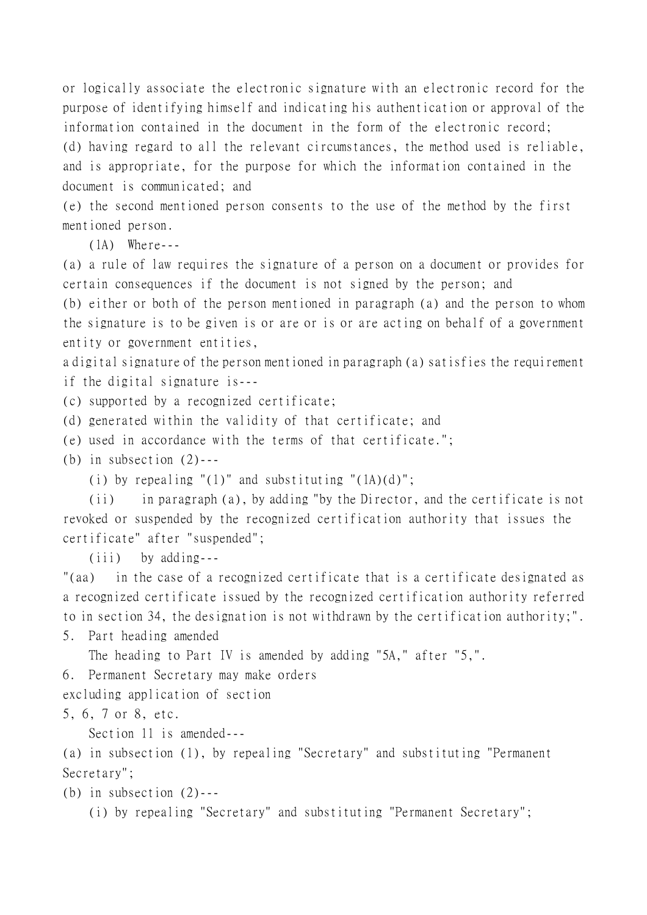or logically associate the electronic signature with an electronic record for the purpose of identifying himself and indicating his authentication or approval of the information contained in the document in the form of the electronic record; (d) having regard to all the relevant circumstances, the method used is reliable, and is appropriate, for the purpose for which the information contained in the document is communicated; and

(e) the second mentioned person consents to the use of the method by the first mentioned person.

```
(1A) Where---
```
(a) a rule of law requires the signature of a person on a document or provides for certain consequences if the document is not signed by the person; and

(b) either or both of the person mentioned in paragraph (a) and the person to whom the signature is to be given is or are or is or are acting on behalf of a government entity or government entities,

a digital signature of the person mentioned in paragraph (a) satisfies the requirement if the digital signature is---

(c) supported by a recognized certificate;

(d) generated within the validity of that certificate; and

(e) used in accordance with the terms of that certificate.";

(b) in subsection  $(2)$ ---

(i) by repealing "(1)" and substituting " $(1A)(d)$ ";

(ii) in paragraph (a), by adding "by the Director, and the certificate is not revoked or suspended by the recognized certification authority that issues the certificate" after "suspended";

(iii) by adding---

"(aa) in the case of a recognized certificate that is a certificate designated as a recognized certificate issued by the recognized certification authority referred to in section 34, the designation is not withdrawn by the certification authority;".

5. Part heading amended

The heading to Part IV is amended by adding "5A," after "5,".

6. Permanent Secretary may make orders

excluding application of section

5, 6, 7 or 8, etc.

Section 11 is amended---

(a) in subsection (1), by repealing "Secretary" and substituting "Permanent Secretary";

(b) in subsection (2)---

(i) by repealing "Secretary" and substituting "Permanent Secretary";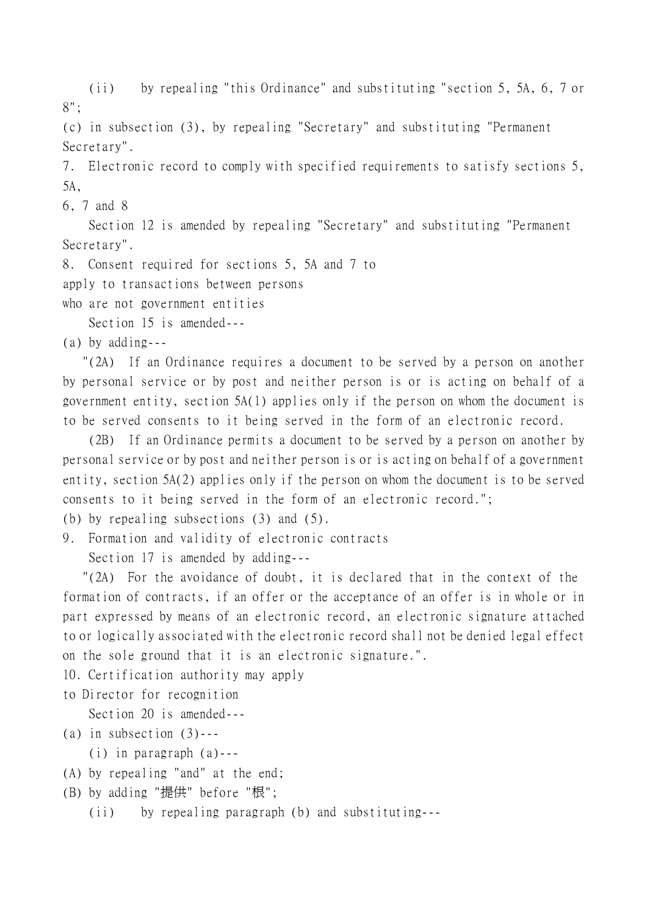(ii) by repealing "this Ordinance" and substituting "section 5, 5A, 6, 7 or  $8"$ :

(c) in subsection (3), by repealing "Secretary" and substituting "Permanent Secretary".

7. Electronic record to comply with specified requirements to satisfy sections 5,  $5A$ .

6, 7 and 8

Section 12 is amended by repealing "Secretary" and substituting "Permanent Secretary".

8. Consent required for sections 5, 5A and 7 to

apply to transactions between persons

who are not government entities

Section 15 is amended---

(a) by adding---

 "(2A) If an Ordinance requires a document to be served by a person on another by personal service or by post and neither person is or is acting on behalf of a government entity, section 5A(1) applies only if the person on whom the document is to be served consents to it being served in the form of an electronic record.

(2B) If an Ordinance permits a document to be served by a person on another by personal service or by post and neither person is or is acting on behalf of a government entity, section 5A(2) applies only if the person on whom the document is to be served consents to it being served in the form of an electronic record.";

(b) by repealing subsections (3) and (5).

9. Formation and validity of electronic contracts

Section 17 is amended by adding---

 "(2A) For the avoidance of doubt, it is declared that in the context of the formation of contracts, if an offer or the acceptance of an offer is in whole or in part expressed by means of an electronic record, an electronic signature attached to or logically associated with the electronic record shall not be denied legal effect on the sole ground that it is an electronic signature.".

10. Certification authority may apply

to Director for recognition

Section 20 is amended---

(a) in subsection  $(3)$ ---

```
(i) in paragraph (a)---
```
- (A) by repealing "and" at the end;
- (B) by adding "提供" before "根";

```
(ii) by repealing paragraph (b) and substituting---
```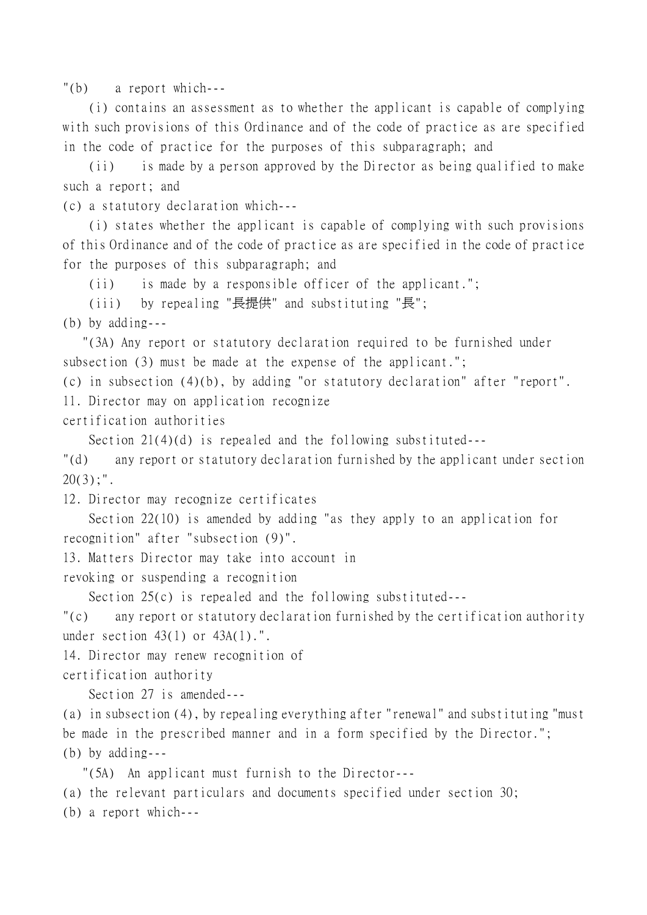"(b) a report which---

(i) contains an assessment as to whether the applicant is capable of complying with such provisions of this Ordinance and of the code of practice as are specified in the code of practice for the purposes of this subparagraph; and

(ii) is made by a person approved by the Director as being qualified to make such a report; and

(c) a statutory declaration which---

(i) states whether the applicant is capable of complying with such provisions of this Ordinance and of the code of practice as are specified in the code of practice for the purposes of this subparagraph; and

(ii) is made by a responsible officer of the applicant.";

(iii) by repealing "長提供" and substituting "長";

(b) by adding---

 "(3A) Any report or statutory declaration required to be furnished under subsection (3) must be made at the expense of the applicant.";

(c) in subsection (4)(b), by adding "or statutory declaration" after "report".

11. Director may on application recognize

certification authorities

Section 21(4)(d) is repealed and the following substituted---

"(d) any report or statutory declaration furnished by the applicant under section  $20(3)$ ;".

12. Director may recognize certificates

Section 22(10) is amended by adding "as they apply to an application for recognition" after "subsection (9)".

13. Matters Director may take into account in

revoking or suspending a recognition

Section 25(c) is repealed and the following substituted---

"(c) any report or statutory declaration furnished by the certification authority under section 43(1) or 43A(1).".

14. Director may renew recognition of

certification authority

Section 27 is amended---

(a) in subsection (4), by repealing everything after "renewal" and substituting "must be made in the prescribed manner and in a form specified by the Director."; (b) by adding---

"(5A) An applicant must furnish to the Director---

(a) the relevant particulars and documents specified under section 30;

(b) a report which---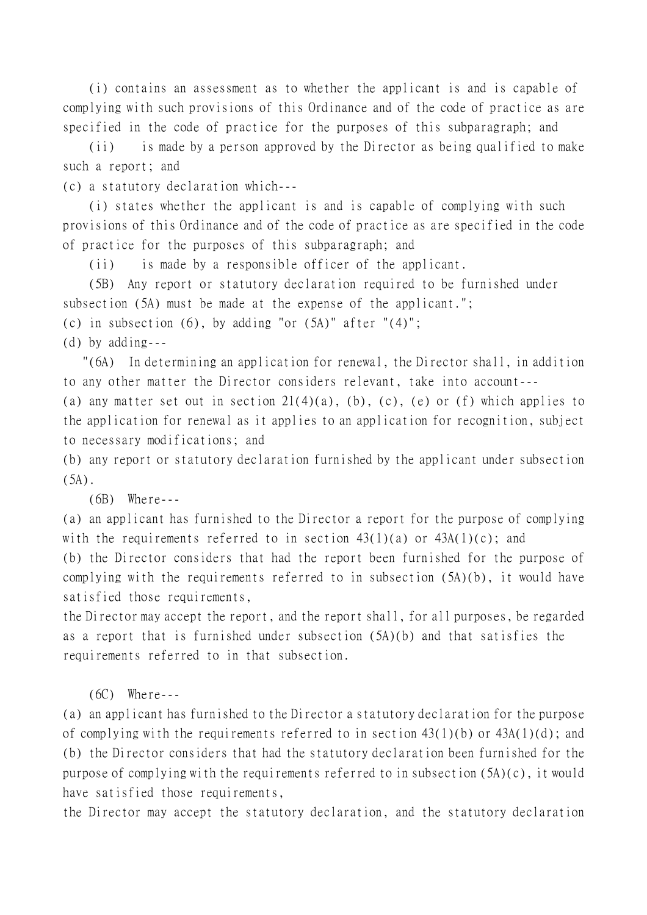(i) contains an assessment as to whether the applicant is and is capable of complying with such provisions of this Ordinance and of the code of practice as are specified in the code of practice for the purposes of this subparagraph; and

(ii) is made by a person approved by the Director as being qualified to make such a report; and

(c) a statutory declaration which---

(i) states whether the applicant is and is capable of complying with such provisions of this Ordinance and of the code of practice as are specified in the code of practice for the purposes of this subparagraph; and

(ii) is made by a responsible officer of the applicant.

(5B) Any report or statutory declaration required to be furnished under subsection (5A) must be made at the expense of the applicant.";

(c) in subsection  $(6)$ , by adding "or  $(5A)$ " after " $(4)$ ";

(d) by adding---

 "(6A) In determining an application for renewal, the Director shall, in addition to any other matter the Director considers relevant, take into account---

(a) any matter set out in section  $21(4)(a)$ , (b), (c), (e) or (f) which applies to the application for renewal as it applies to an application for recognition, subject to necessary modifications; and

(b) any report or statutory declaration furnished by the applicant under subsection (5A).

(6B) Where---

(a) an applicant has furnished to the Director a report for the purpose of complying with the requirements referred to in section  $43(1)(a)$  or  $43A(1)(c)$ ; and

(b) the Director considers that had the report been furnished for the purpose of complying with the requirements referred to in subsection (5A)(b), it would have satisfied those requirements,

the Director may accept the report, and the report shall, for all purposes, be regarded as a report that is furnished under subsection (5A)(b) and that satisfies the requirements referred to in that subsection.

## (6C) Where---

(a) an applicant has furnished to the Director a statutory declaration for the purpose of complying with the requirements referred to in section  $43(1)(b)$  or  $43A(1)(d)$ ; and (b) the Director considers that had the statutory declaration been furnished for the purpose of complying with the requirements referred to in subsection (5A)(c), it would have satisfied those requirements,

the Director may accept the statutory declaration, and the statutory declaration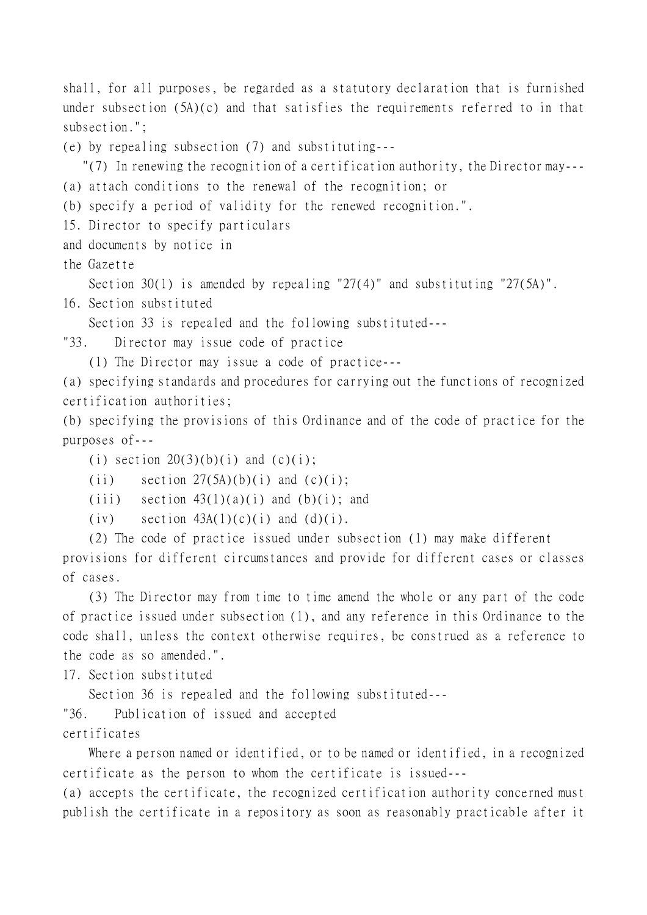shall, for all purposes, be regarded as a statutory declaration that is furnished under subsection (5A)(c) and that satisfies the requirements referred to in that subsection.";

(e) by repealing subsection (7) and substituting---

"(7) In renewing the recognition of a certification authority, the Director may---

(a) attach conditions to the renewal of the recognition; or

(b) specify a period of validity for the renewed recognition.".

15. Director to specify particulars

and documents by notice in

the Gazette

Section 30(1) is amended by repealing "27(4)" and substituting "27(5A)".

16. Section substituted

Section 33 is repealed and the following substituted---

"33. Director may issue code of practice

(1) The Director may issue a code of practice---

(a) specifying standards and procedures for carrying out the functions of recognized certification authorities;

(b) specifying the provisions of this Ordinance and of the code of practice for the purposes of---

(i) section  $20(3)(b)(i)$  and  $(c)(i)$ ;

(ii) section  $27(5A)(b)(i)$  and  $(c)(i)$ ;

(iii) section  $43(1)(a)(i)$  and  $(b)(i)$ ; and

(iv) section  $43A(1)(c)(i)$  and  $(d)(i)$ .

(2) The code of practice issued under subsection (1) may make different provisions for different circumstances and provide for different cases or classes of cases.

(3) The Director may from time to time amend the whole or any part of the code of practice issued under subsection (1), and any reference in this Ordinance to the code shall, unless the context otherwise requires, be construed as a reference to the code as so amended.".

17. Section substituted

Section 36 is repealed and the following substituted---

"36. Publication of issued and accepted

certificates

Where a person named or identified, or to be named or identified, in a recognized certificate as the person to whom the certificate is issued---

(a) accepts the certificate, the recognized certification authority concerned must publish the certificate in a repository as soon as reasonably practicable after it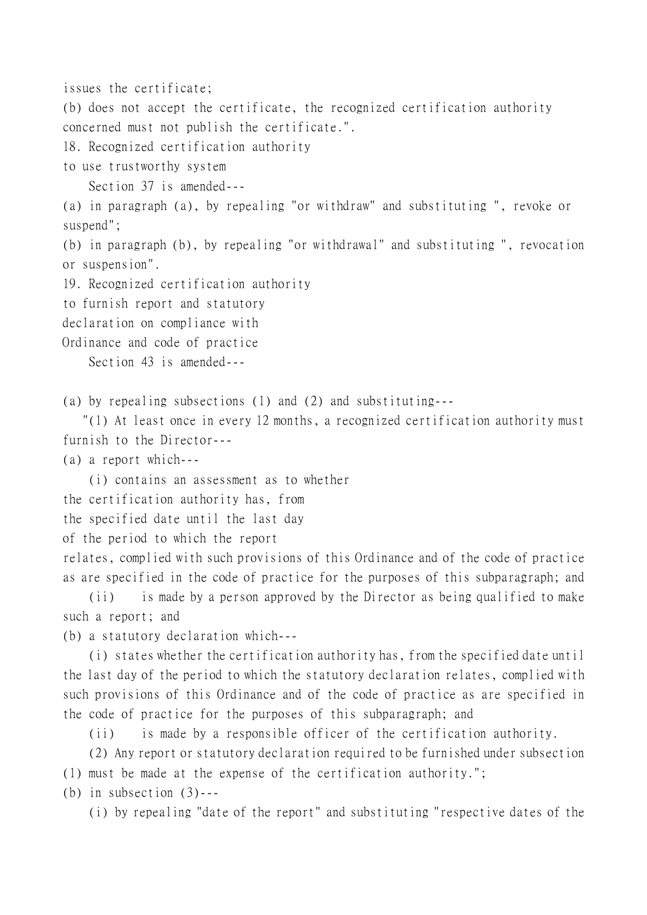issues the certificate;

(b) does not accept the certificate, the recognized certification authority concerned must not publish the certificate.".

18. Recognized certification authority

to use trustworthy system

Section 37 is amended---

(a) in paragraph (a), by repealing "or withdraw" and substituting ", revoke or suspend";

(b) in paragraph (b), by repealing "or withdrawal" and substituting ", revocation or suspension".

19. Recognized certification authority

to furnish report and statutory

declaration on compliance with

Ordinance and code of practice

Section 43 is amended---

(a) by repealing subsections (1) and (2) and substituting---

 "(1) At least once in every 12 months, a recognized certification authority must furnish to the Director---

(a) a report which---

(i) contains an assessment as to whether

the certification authority has, from

the specified date until the last day

of the period to which the report

relates, complied with such provisions of this Ordinance and of the code of practice as are specified in the code of practice for the purposes of this subparagraph; and

(ii) is made by a person approved by the Director as being qualified to make such a report; and

(b) a statutory declaration which---

(i) states whether the certification authority has, from the specified date until the last day of the period to which the statutory declaration relates, complied with such provisions of this Ordinance and of the code of practice as are specified in the code of practice for the purposes of this subparagraph; and

(ii) is made by a responsible officer of the certification authority.

(2) Any report or statutory declaration required to be furnished under subsection (1) must be made at the expense of the certification authority.";

(b) in subsection  $(3)$ ---

(i) by repealing "date of the report" and substituting "respective dates of the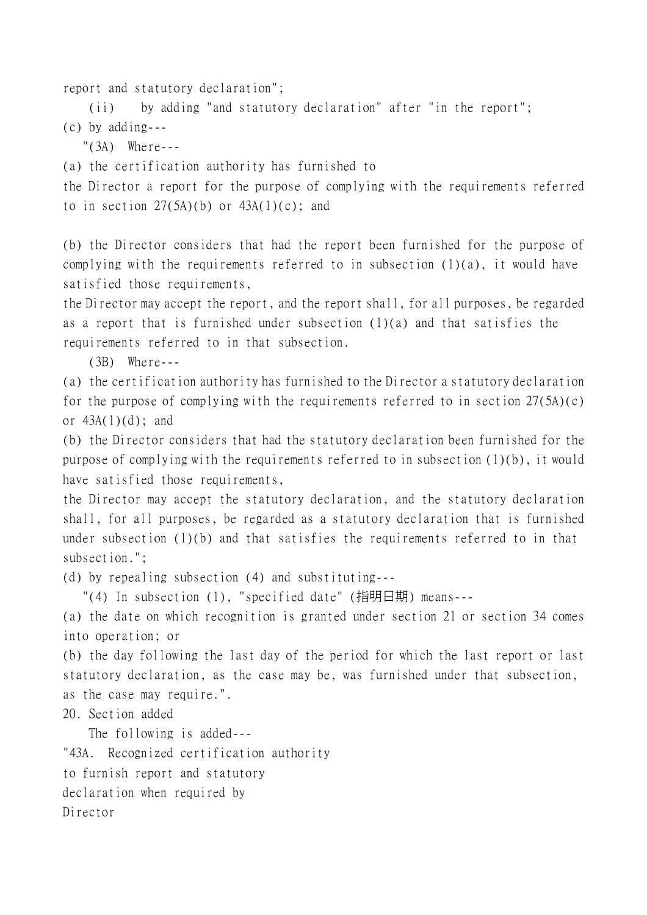report and statutory declaration";

(ii) by adding "and statutory declaration" after "in the report"; (c) by adding---

"(3A) Where---

(a) the certification authority has furnished to

the Director a report for the purpose of complying with the requirements referred to in section  $27(5A)(b)$  or  $43A(1)(c)$ ; and

(b) the Director considers that had the report been furnished for the purpose of complying with the requirements referred to in subsection (1)(a), it would have satisfied those requirements,

the Director may accept the report, and the report shall, for all purposes, be regarded as a report that is furnished under subsection  $(1)(a)$  and that satisfies the requirements referred to in that subsection.

(3B) Where---

(a) the certification authority has furnished to the Director a statutory declaration for the purpose of complying with the requirements referred to in section  $27(5A)(c)$ or  $43A(1)(d)$ ; and

(b) the Director considers that had the statutory declaration been furnished for the purpose of complying with the requirements referred to in subsection (1)(b), it would have satisfied those requirements,

the Director may accept the statutory declaration, and the statutory declaration shall, for all purposes, be regarded as a statutory declaration that is furnished under subsection (1)(b) and that satisfies the requirements referred to in that subsection.";

(d) by repealing subsection (4) and substituting---

"(4) In subsection (1), "specified date" (指明日期) means---

(a) the date on which recognition is granted under section 21 or section 34 comes into operation; or

(b) the day following the last day of the period for which the last report or last statutory declaration, as the case may be, was furnished under that subsection, as the case may require.".

20. Section added

The following is added---

"43A. Recognized certification authority

to furnish report and statutory

declaration when required by

Director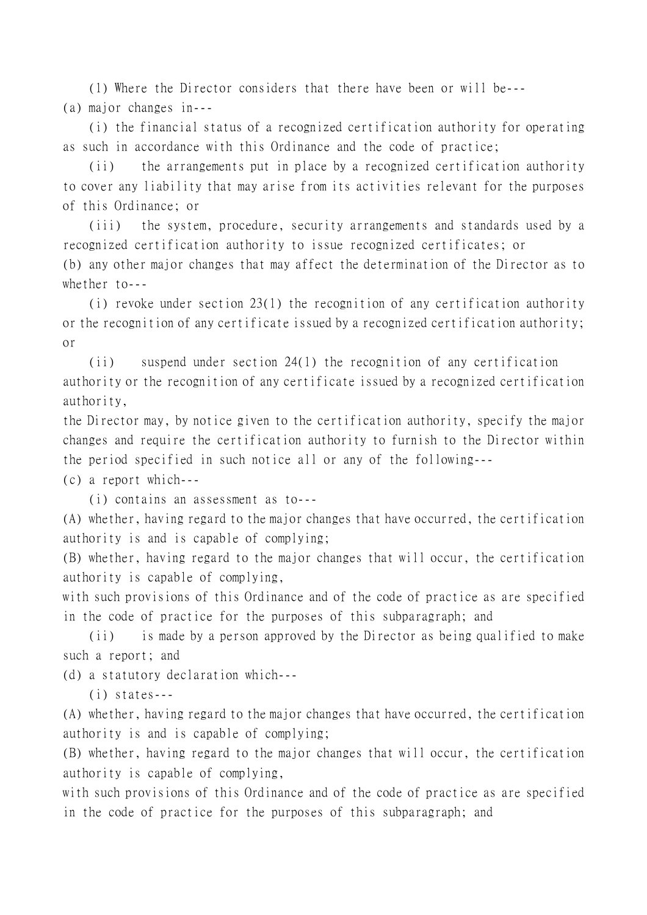(1) Where the Director considers that there have been or will be--- (a) major changes in---

(i) the financial status of a recognized certification authority for operating as such in accordance with this Ordinance and the code of practice;

(ii) the arrangements put in place by a recognized certification authority to cover any liability that may arise from its activities relevant for the purposes of this Ordinance; or

(iii) the system, procedure, security arrangements and standards used by a recognized certification authority to issue recognized certificates; or

(b) any other major changes that may affect the determination of the Director as to whether to---

(i) revoke under section 23(1) the recognition of any certification authority or the recognition of any certificate issued by a recognized certification authority; or

(ii) suspend under section 24(1) the recognition of any certification authority or the recognition of any certificate issued by a recognized certification authority,

the Director may, by notice given to the certification authority, specify the major changes and require the certification authority to furnish to the Director within the period specified in such notice all or any of the following---

(c) a report which---

(i) contains an assessment as to---

(A) whether, having regard to the major changes that have occurred, the certification authority is and is capable of complying;

(B) whether, having regard to the major changes that will occur, the certification authority is capable of complying,

with such provisions of this Ordinance and of the code of practice as are specified in the code of practice for the purposes of this subparagraph; and

(ii) is made by a person approved by the Director as being qualified to make such a report; and

(d) a statutory declaration which---

(i) states---

(A) whether, having regard to the major changes that have occurred, the certification authority is and is capable of complying;

(B) whether, having regard to the major changes that will occur, the certification authority is capable of complying,

with such provisions of this Ordinance and of the code of practice as are specified in the code of practice for the purposes of this subparagraph; and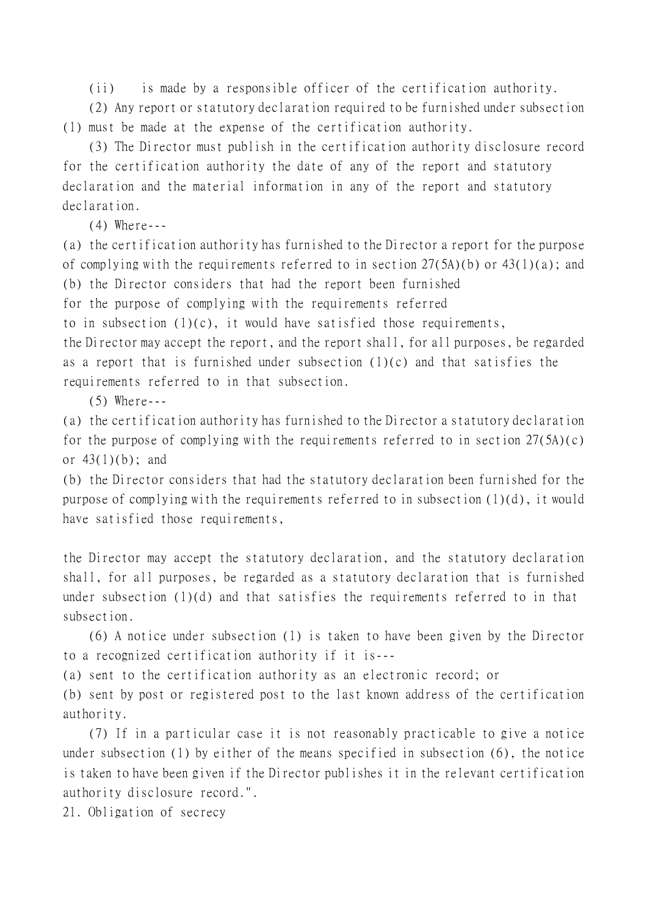(ii) is made by a responsible officer of the certification authority.

(2) Any report or statutory declaration required to be furnished under subsection (1) must be made at the expense of the certification authority.

(3) The Director must publish in the certification authority disclosure record for the certification authority the date of any of the report and statutory declaration and the material information in any of the report and statutory declaration.

(4) Where---

(a) the certification authority has furnished to the Director a report for the purpose of complying with the requirements referred to in section  $27(5A)(b)$  or  $43(1)(a)$ ; and (b) the Director considers that had the report been furnished

for the purpose of complying with the requirements referred

to in subsection  $(1)(c)$ , it would have satisfied those requirements,

the Director may accept the report, and the report shall, for all purposes, be regarded as a report that is furnished under subsection  $(1)(c)$  and that satisfies the requirements referred to in that subsection.

(5) Where---

(a) the certification authority has furnished to the Director a statutory declaration for the purpose of complying with the requirements referred to in section 27(5A)(c) or  $43(1)(b)$ ; and

(b) the Director considers that had the statutory declaration been furnished for the purpose of complying with the requirements referred to in subsection  $(1)(d)$ , it would have satisfied those requirements,

the Director may accept the statutory declaration, and the statutory declaration shall, for all purposes, be regarded as a statutory declaration that is furnished under subsection (1)(d) and that satisfies the requirements referred to in that subsection.

(6) A notice under subsection (1) is taken to have been given by the Director to a recognized certification authority if it is---

(a) sent to the certification authority as an electronic record; or

(b) sent by post or registered post to the last known address of the certification authority.

(7) If in a particular case it is not reasonably practicable to give a notice under subsection (1) by either of the means specified in subsection (6), the notice is taken to have been given if the Director publishes it in the relevant certification authority disclosure record.".

21. Obligation of secrecy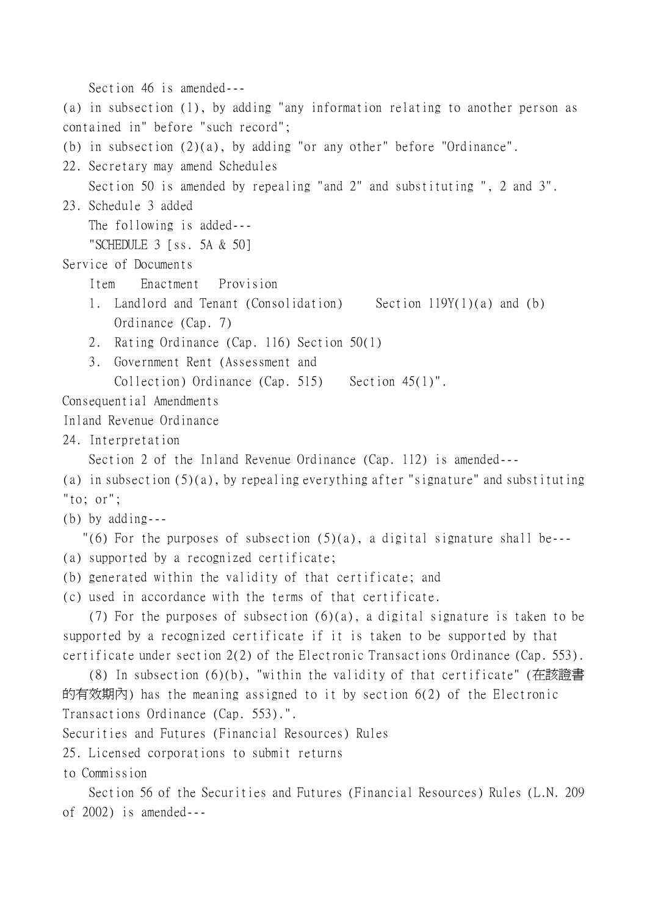Section 46 is amended--- (a) in subsection (1), by adding "any information relating to another person as contained in" before "such record"; (b) in subsection (2)(a), by adding "or any other" before "Ordinance". 22. Secretary may amend Schedules Section 50 is amended by repealing "and 2" and substituting ", 2 and 3". 23. Schedule 3 added The following is added--- "SCHEDULE 3 [ss. 5A & 50] Service of Documents Item Enactment Provision 1. Landlord and Tenant (Consolidation) Section 119Y(1)(a) and (b) Ordinance (Cap. 7) 2. Rating Ordinance (Cap. 116) Section 50(1) 3. Government Rent (Assessment and Collection) Ordinance (Cap. 515) Section 45(1)". Consequential Amendments Inland Revenue Ordinance 24. Interpretation Section 2 of the Inland Revenue Ordinance (Cap. 112) is amended--- (a) in subsection (5)(a), by repealing everything after "signature" and substituting "to; or"; (b) by adding--- "(6) For the purposes of subsection  $(5)(a)$ , a digital signature shall be---(a) supported by a recognized certificate; (b) generated within the validity of that certificate; and (c) used in accordance with the terms of that certificate. (7) For the purposes of subsection  $(6)(a)$ , a digital signature is taken to be supported by a recognized certificate if it is taken to be supported by that certificate under section 2(2) of the Electronic Transactions Ordinance (Cap. 553). (8) In subsection  $(6)(b)$ , "within the validity of that certificate" (在該證書) 的有效期內) has the meaning assigned to it by section 6(2) of the Electronic Transactions Ordinance (Cap. 553).".

Securities and Futures (Financial Resources) Rules

25. Licensed corporations to submit returns

to Commission

Section 56 of the Securities and Futures (Financial Resources) Rules (L.N. 209 of 2002) is amended---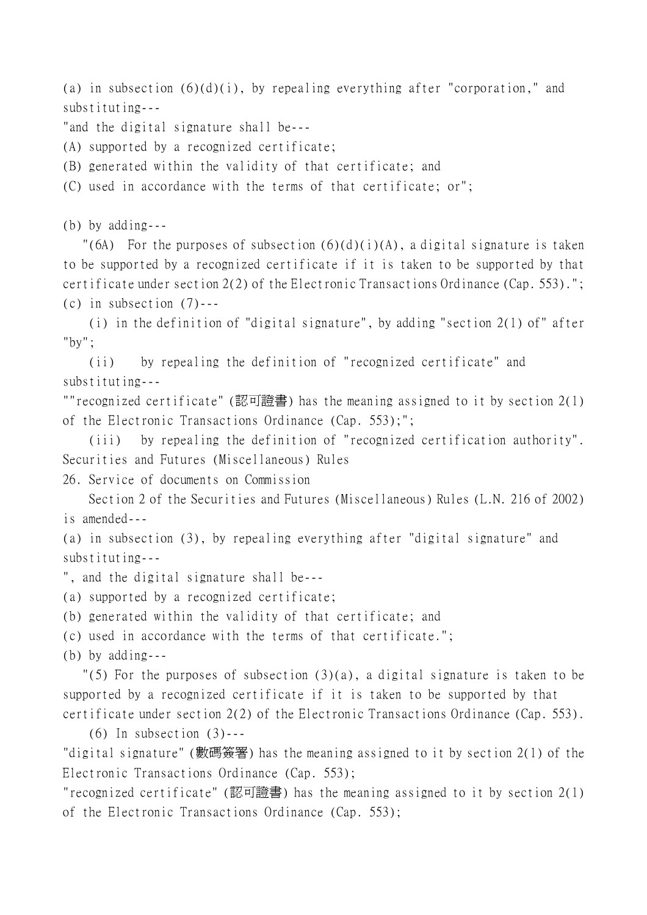(a) in subsection  $(6)(d)(i)$ , by repealing everything after "corporation," and substituting---

"and the digital signature shall be---

(A) supported by a recognized certificate;

(B) generated within the validity of that certificate; and

(C) used in accordance with the terms of that certificate; or";

(b) by adding---

"(6A) For the purposes of subsection  $(6)(d)(i)(A)$ , a digital signature is taken to be supported by a recognized certificate if it is taken to be supported by that certificate under section 2(2) of the Electronic Transactions Ordinance (Cap. 553)."; (c) in subsection  $(7)$ ---

(i) in the definition of "digital signature", by adding "section 2(1) of" after "by";

(ii) by repealing the definition of "recognized certificate" and substituting---

""recognized certificate" (認可證書) has the meaning assigned to it by section 2(1) of the Electronic Transactions Ordinance (Cap. 553);";

(iii) by repealing the definition of "recognized certification authority". Securities and Futures (Miscellaneous) Rules

26. Service of documents on Commission

Section 2 of the Securities and Futures (Miscellaneous) Rules (L.N. 216 of 2002) is amended---

(a) in subsection (3), by repealing everything after "digital signature" and substituting---

", and the digital signature shall be---

(a) supported by a recognized certificate;

(b) generated within the validity of that certificate; and

(c) used in accordance with the terms of that certificate.";

(b) by adding---

"(5) For the purposes of subsection  $(3)(a)$ , a digital signature is taken to be supported by a recognized certificate if it is taken to be supported by that certificate under section 2(2) of the Electronic Transactions Ordinance (Cap. 553).

 $(6)$  In subsection  $(3)$ ---

"digital signature" (數碼簽署) has the meaning assigned to it by section 2(1) of the Electronic Transactions Ordinance (Cap. 553);

"recognized certificate" (認可證書) has the meaning assigned to it by section 2(1) of the Electronic Transactions Ordinance (Cap. 553);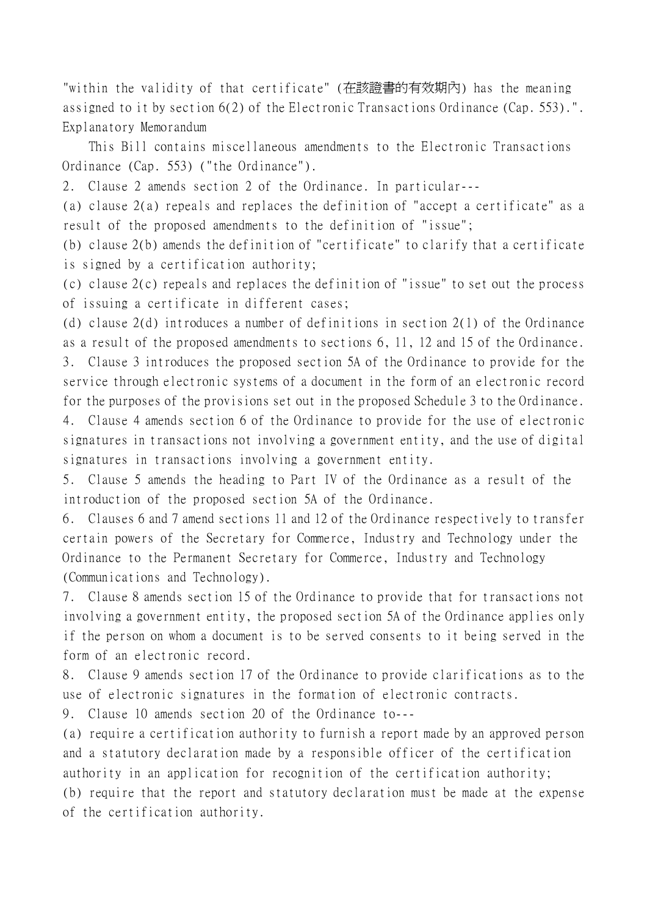"within the validity of that certificate" (在該證書的有效期內) has the meaning assigned to it by section 6(2) of the Electronic Transactions Ordinance (Cap. 553).". Explanatory Memorandum

This Bill contains miscellaneous amendments to the Electronic Transactions Ordinance (Cap. 553) ("the Ordinance").

2. Clause 2 amends section 2 of the Ordinance. In particular---

(a) clause 2(a) repeals and replaces the definition of "accept a certificate" as a result of the proposed amendments to the definition of "issue";

(b) clause 2(b) amends the definition of "certificate" to clarify that a certificate is signed by a certification authority;

(c) clause 2(c) repeals and replaces the definition of "issue" to set out the process of issuing a certificate in different cases;

(d) clause 2(d) introduces a number of definitions in section 2(1) of the Ordinance as a result of the proposed amendments to sections 6, 11, 12 and 15 of the Ordinance. 3. Clause 3 introduces the proposed section 5A of the Ordinance to provide for the service through electronic systems of a document in the form of an electronic record for the purposes of the provisions set out in the proposed Schedule 3 to the Ordinance. 4. Clause 4 amends section 6 of the Ordinance to provide for the use of electronic signatures in transactions not involving a government entity, and the use of digital signatures in transactions involving a government entity.

5. Clause 5 amends the heading to Part IV of the Ordinance as a result of the introduction of the proposed section 5A of the Ordinance.

6. Clauses 6 and 7 amend sections 11 and 12 of the Ordinance respectively to transfer certain powers of the Secretary for Commerce, Industry and Technology under the Ordinance to the Permanent Secretary for Commerce, Industry and Technology (Communications and Technology).

7. Clause 8 amends section 15 of the Ordinance to provide that for transactions not involving a government entity, the proposed section 5A of the Ordinance applies only if the person on whom a document is to be served consents to it being served in the form of an electronic record.

8. Clause 9 amends section 17 of the Ordinance to provide clarifications as to the use of electronic signatures in the formation of electronic contracts.

9. Clause 10 amends section 20 of the Ordinance to---

(a) require a certification authority to furnish a report made by an approved person and a statutory declaration made by a responsible officer of the certification authority in an application for recognition of the certification authority; (b) require that the report and statutory declaration must be made at the expense of the certification authority.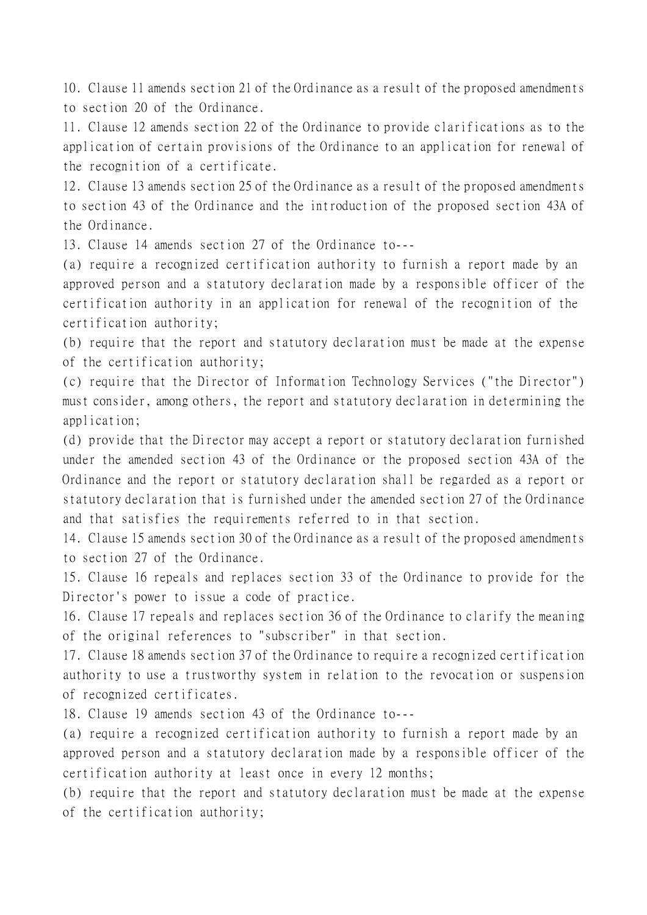10. Clause 11 amends section 21 of the Ordinance as a result of the proposed amendments to section 20 of the Ordinance.

11. Clause 12 amends section 22 of the Ordinance to provide clarifications as to the application of certain provisions of the Ordinance to an application for renewal of the recognition of a certificate.

12. Clause 13 amends section 25 of the Ordinance as a result of the proposed amendments to section 43 of the Ordinance and the introduction of the proposed section 43A of the Ordinance.

13. Clause 14 amends section 27 of the Ordinance to---

(a) require a recognized certification authority to furnish a report made by an approved person and a statutory declaration made by a responsible officer of the certification authority in an application for renewal of the recognition of the certification authority;

(b) require that the report and statutory declaration must be made at the expense of the certification authority;

(c) require that the Director of Information Technology Services ("the Director") must consider, among others, the report and statutory declaration in determining the application;

(d) provide that the Director may accept a report or statutory declaration furnished under the amended section 43 of the Ordinance or the proposed section 43A of the Ordinance and the report or statutory declaration shall be regarded as a report or statutory declaration that is furnished under the amended section 27 of the Ordinance and that satisfies the requirements referred to in that section.

14. Clause 15 amends section 30 of the Ordinance as a result of the proposed amendments to section 27 of the Ordinance.

15. Clause 16 repeals and replaces section 33 of the Ordinance to provide for the Director's power to issue a code of practice.

16. Clause 17 repeals and replaces section 36 of the Ordinance to clarify the meaning of the original references to "subscriber" in that section.

17. Clause 18 amends section 37 of the Ordinance to require a recognized certification authority to use a trustworthy system in relation to the revocation or suspension of recognized certificates.

18. Clause 19 amends section 43 of the Ordinance to---

(a) require a recognized certification authority to furnish a report made by an approved person and a statutory declaration made by a responsible officer of the certification authority at least once in every 12 months;

(b) require that the report and statutory declaration must be made at the expense of the certification authority;